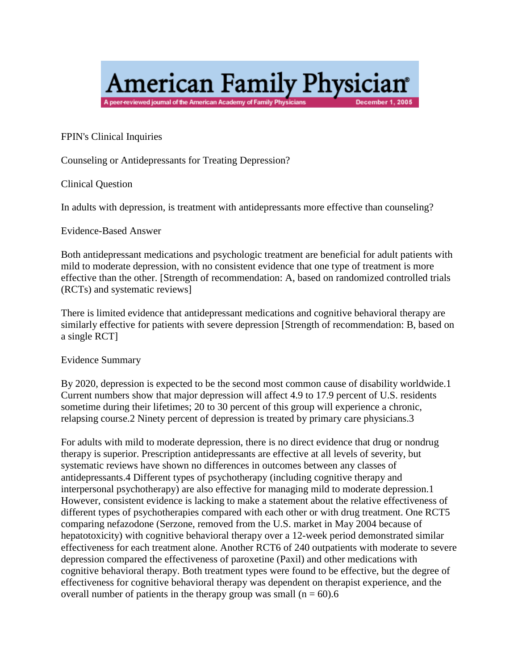# **American Family Physician**<sup>®</sup> A peer-reviewed journal of the American Academy of Family Physicians **December 1, 2005**

FPIN's Clinical Inquiries

Counseling or Antidepressants for Treating Depression?

Clinical Question

In adults with depression, is treatment with antidepressants more effective than counseling?

#### Evidence-Based Answer

Both antidepressant medications and psychologic treatment are beneficial for adult patients with mild to moderate depression, with no consistent evidence that one type of treatment is more effective than the other. [Strength of recommendation: A, based on randomized controlled trials (RCTs) and systematic reviews]

There is limited evidence that antidepressant medications and cognitive behavioral therapy are similarly effective for patients with severe depression [Strength of recommendation: B, based on a single RCT]

Evidence Summary

By 2020, depression is expected to be the second most common cause of disability worldwide.1 Current numbers show that major depression will affect 4.9 to 17.9 percent of U.S. residents sometime during their lifetimes; 20 to 30 percent of this group will experience a chronic, relapsing course.2 Ninety percent of depression is treated by primary care physicians.3

For adults with mild to moderate depression, there is no direct evidence that drug or nondrug therapy is superior. Prescription antidepressants are effective at all levels of severity, but systematic reviews have shown no differences in outcomes between any classes of antidepressants.4 Different types of psychotherapy (including cognitive therapy and interpersonal psychotherapy) are also effective for managing mild to moderate depression.1 However, consistent evidence is lacking to make a statement about the relative effectiveness of different types of psychotherapies compared with each other or with drug treatment. One RCT5 comparing nefazodone (Serzone, removed from the U.S. market in May 2004 because of hepatotoxicity) with cognitive behavioral therapy over a 12-week period demonstrated similar effectiveness for each treatment alone. Another RCT6 of 240 outpatients with moderate to severe depression compared the effectiveness of paroxetine (Paxil) and other medications with cognitive behavioral therapy. Both treatment types were found to be effective, but the degree of effectiveness for cognitive behavioral therapy was dependent on therapist experience, and the overall number of patients in the therapy group was small  $(n = 60)$ .6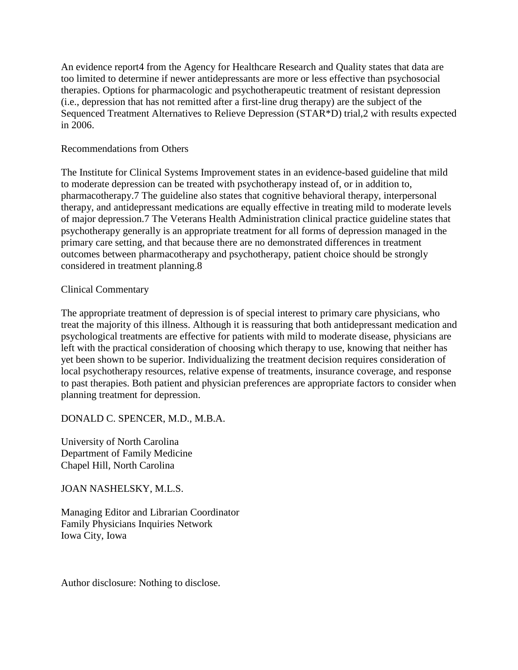An evidence report4 from the Agency for Healthcare Research and Quality states that data are too limited to determine if newer antidepressants are more or less effective than psychosocial therapies. Options for pharmacologic and psychotherapeutic treatment of resistant depression (i.e., depression that has not remitted after a first-line drug therapy) are the subject of the Sequenced Treatment Alternatives to Relieve Depression (STAR\*D) trial,2 with results expected in 2006.

### Recommendations from Others

The Institute for Clinical Systems Improvement states in an evidence-based guideline that mild to moderate depression can be treated with psychotherapy instead of, or in addition to, pharmacotherapy.7 The guideline also states that cognitive behavioral therapy, interpersonal therapy, and antidepressant medications are equally effective in treating mild to moderate levels of major depression.7 The Veterans Health Administration clinical practice guideline states that psychotherapy generally is an appropriate treatment for all forms of depression managed in the primary care setting, and that because there are no demonstrated differences in treatment outcomes between pharmacotherapy and psychotherapy, patient choice should be strongly considered in treatment planning.8

# Clinical Commentary

The appropriate treatment of depression is of special interest to primary care physicians, who treat the majority of this illness. Although it is reassuring that both antidepressant medication and psychological treatments are effective for patients with mild to moderate disease, physicians are left with the practical consideration of choosing which therapy to use, knowing that neither has yet been shown to be superior. Individualizing the treatment decision requires consideration of local psychotherapy resources, relative expense of treatments, insurance coverage, and response to past therapies. Both patient and physician preferences are appropriate factors to consider when planning treatment for depression.

DONALD C. SPENCER, M.D., M.B.A.

University of North Carolina Department of Family Medicine Chapel Hill, North Carolina

JOAN NASHELSKY, M.L.S.

Managing Editor and Librarian Coordinator Family Physicians Inquiries Network Iowa City, Iowa

Author disclosure: Nothing to disclose.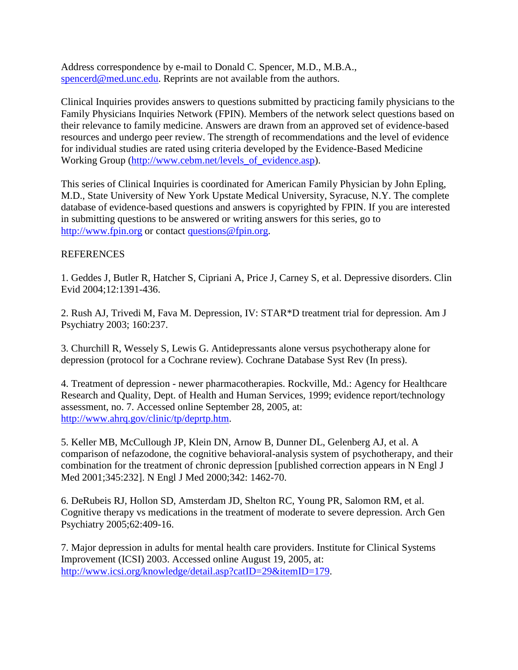Address correspondence by e-mail to Donald C. Spencer, M.D., M.B.A., [spencerd@med.unc.edu.](mailto:spencerd@med.unc.edu) Reprints are not available from the authors.

Clinical Inquiries provides answers to questions submitted by practicing family physicians to the Family Physicians Inquiries Network (FPIN). Members of the network select questions based on their relevance to family medicine. Answers are drawn from an approved set of evidence-based resources and undergo peer review. The strength of recommendations and the level of evidence for individual studies are rated using criteria developed by the Evidence-Based Medicine Working Group [\(http://www.cebm.net/levels\\_of\\_evidence.asp\)](http://www.cebm.net/levels_of_evidence.asp).

This series of Clinical Inquiries is coordinated for American Family Physician by John Epling, M.D., State University of New York Upstate Medical University, Syracuse, N.Y. The complete database of evidence-based questions and answers is copyrighted by FPIN. If you are interested in submitting questions to be answered or writing answers for this series, go to [http://www.fpin.org](http://www.fpin.org/) or contac[t questions@fpin.org.](mailto:questions@fpin.org)

# **REFERENCES**

1. Geddes J, Butler R, Hatcher S, Cipriani A, Price J, Carney S, et al. Depressive disorders. Clin Evid 2004;12:1391-436.

2. Rush AJ, Trivedi M, Fava M. Depression, IV: STAR\*D treatment trial for depression. Am J Psychiatry 2003; 160:237.

3. Churchill R, Wessely S, Lewis G. Antidepressants alone versus psychotherapy alone for depression (protocol for a Cochrane review). Cochrane Database Syst Rev (In press).

4. Treatment of depression - newer pharmacotherapies. Rockville, Md.: Agency for Healthcare Research and Quality, Dept. of Health and Human Services, 1999; evidence report/technology assessment, no. 7. Accessed online September 28, 2005, at: [http://www.ahrq.gov/clinic/tp/deprtp.htm.](http://www.ahrq.gov/clinic/tp/deprtp.htm)

5. Keller MB, McCullough JP, Klein DN, Arnow B, Dunner DL, Gelenberg AJ, et al. A comparison of nefazodone, the cognitive behavioral-analysis system of psychotherapy, and their combination for the treatment of chronic depression [published correction appears in N Engl J Med 2001;345:232]. N Engl J Med 2000;342: 1462-70.

6. DeRubeis RJ, Hollon SD, Amsterdam JD, Shelton RC, Young PR, Salomon RM, et al. Cognitive therapy vs medications in the treatment of moderate to severe depression. Arch Gen Psychiatry 2005;62:409-16.

7. Major depression in adults for mental health care providers. Institute for Clinical Systems Improvement (ICSI) 2003. Accessed online August 19, 2005, at: [http://www.icsi.org/knowledge/detail.asp?catID=29&itemID=179.](http://www.icsi.org/knowledge/detail.asp?catID=29&itemID=179)